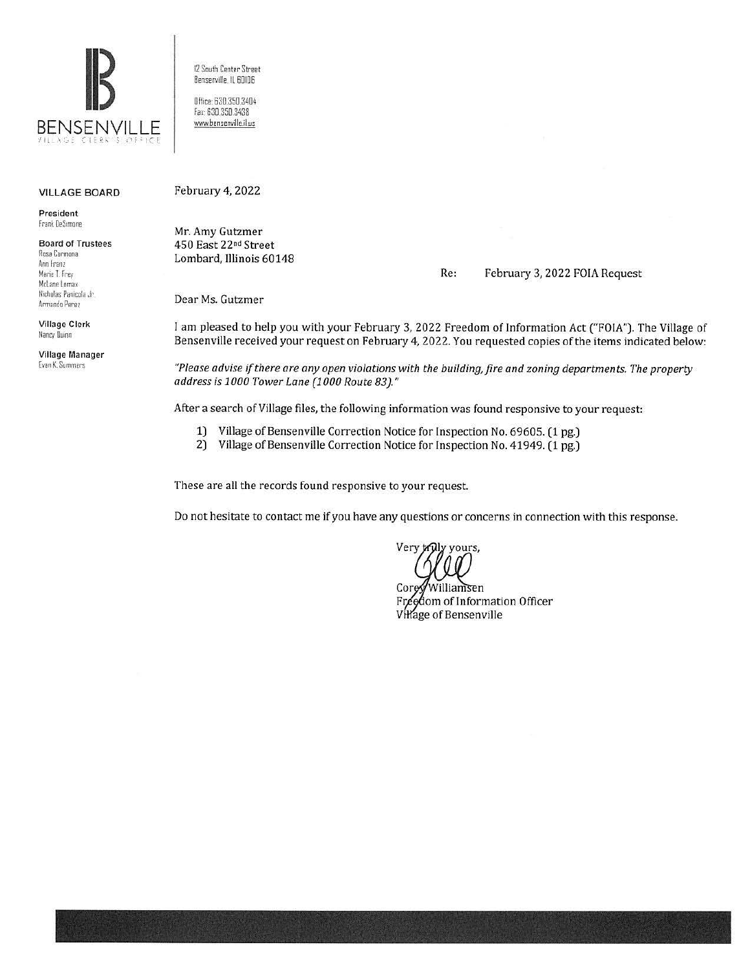

#### VILLAGE BOARD

**President**  Frank DeSimone

**Board of Trustees**  Rosa Carmona **Ann Franz**  Marie T. Frey McLane Lomax Nicholas Panicola Jr. Armando Perez

Village Clerk Nancy Duinn

Village Manager Evan K. Summers

12 South Center Street 8ensenville, ll 6DI06 Olfice: 630.350.3404 Fax 630.350.3438 www.bensenville.il.us

#### February 4, 2022

Mr. Amy Gutzmer 450 East 22nd Street Lombard, Illinois 60148

Re: February 3, 2022 FOIA Request

Dear Ms. Gutzmer

I am pleased to help you with your February 3, 2022 Freedom of Information Act ("FOIA"). The Village of Bensenville received your request on February 4, 2022. You requested copies of the items indicated below:

*"Please advise if there are any open violations with the building,fire and zoning departments. The property address* is *1000 Tower Lane (1000 Route 83)."* 

After a search of Village files, the following information was found responsive to your request:

- 1) Village of Bensenville Correction Notice for Inspection No. 69605. (1 pg.)
- 2) Village of Bensenville Correction Notice for Inspection No. 41949. (1 pg.)

These are all the records found responsive to your request.

Do not hesitate to contact me if you have any questions or concerns in connection with this response.

Very truly yours,

Williamsen Cor dom of Information Officer Village of Bensenville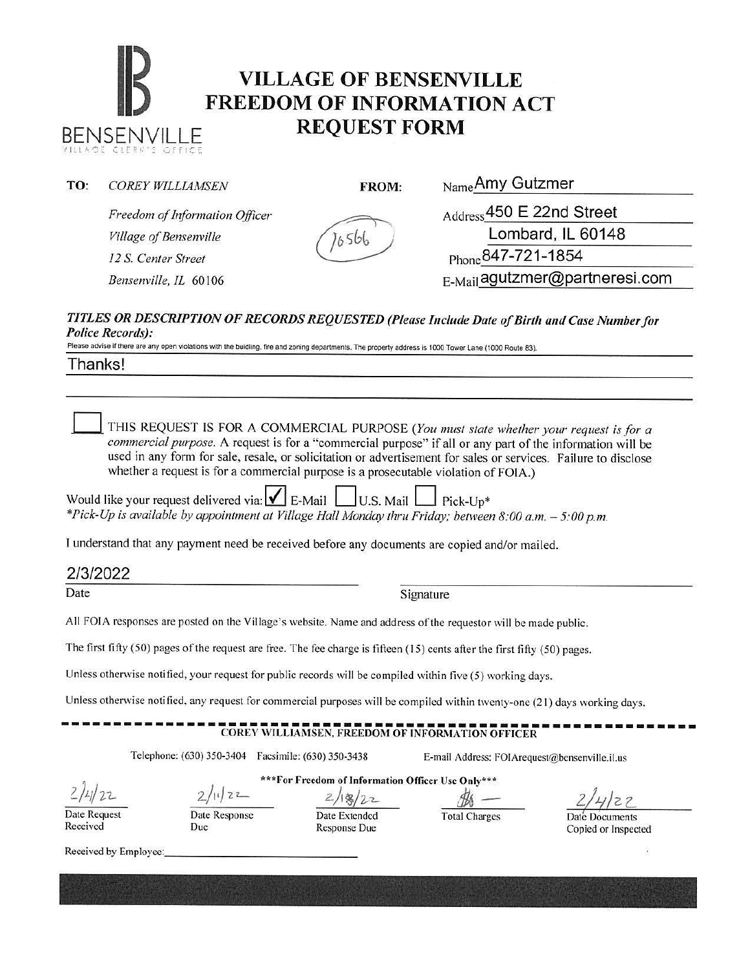# **IB VILLAGE OF BENSENVILLE**<br> **FREEDOM OF INFORMATION ACT** BENSENVILLE **REQUEST FORM**

| TO: | <b>COREY WILLIAMSEN</b>        | FROM: | Name Amy Gutzmer               |
|-----|--------------------------------|-------|--------------------------------|
|     | Freedom of Information Officer |       | Address 450 E 22nd Street      |
|     | Village of Bensenville         |       | Lombard, IL 60148              |
|     | 12 S. Center Street            |       | $P_{\text{hone}}$ 847-721-1854 |
|     | Bensenville, IL 60106          |       | E-Mail agutzmer@partneresi.com |
|     |                                |       |                                |

#### *TITLES OR DESCRIPTION OF RECORDS REQUESTED (Please Include Date of Birth and Case Number for Police Records):*

Please advise if there are any open violations with the buidling, fire and zoning departments. The property address is 1000 Tower Lane (1000 Route 83).

Thanks!

THIS REQUEST IS FOR A COMMERCIAL PURPOSE (You must state whether your request is for a *commercial purpose.* A request is for a "commercial purpose" if all or any part of the information will be used in any form for sale, resale, or solicitation or advertisement for sales or services. Failure to disclose whether a request is for a commercial purpose is a prosecutable violation of FOIA.)

Would like your request delivered via:  $\blacksquare$  E-Mail  $\blacksquare$  U.S. Mail  $\blacksquare$  Pick-Up<sup>\*</sup> *\*Pick-Up is available by appointment at Village Hall Monday thru Friday; between 8:00 a.m.* - *5:00 p.m.* 

1 understand that any payment need be received before any documents are copied and/or mailed.

#### 2/3/2022

Date Signature

All FOIA responses are posted on the Village's website. Name and address of the requestor will be made public.

The first fifty (50) pages of the request are free. The fee charge is fifteen ( 15) cents after the first fifty (50) pages.

Unless otherwise notified, your request for public records will be compiled within five (5) working days.

Unless otherwise notified, any request for commercial purposes will be compiled within twenty-one (2 1) days working days.

## **-COREY WILLIAMSEN, FREEDOM OF INFORMATION OFFICER**

Telephone: (630) 350-3404 Facsimile: (630) 350-3438 E-mail Address: FOIArequest@bcnscnville.il.us

*?.)LJ/* t-'2--

**\*\*\*For Freedom of Information Officer Use Only\*\*\*** 

2/18/22

Date Request Received

Date Response Due

Date Extended Response Due

Total Charges Date Documents

Copied or Inspected

Received by Employee: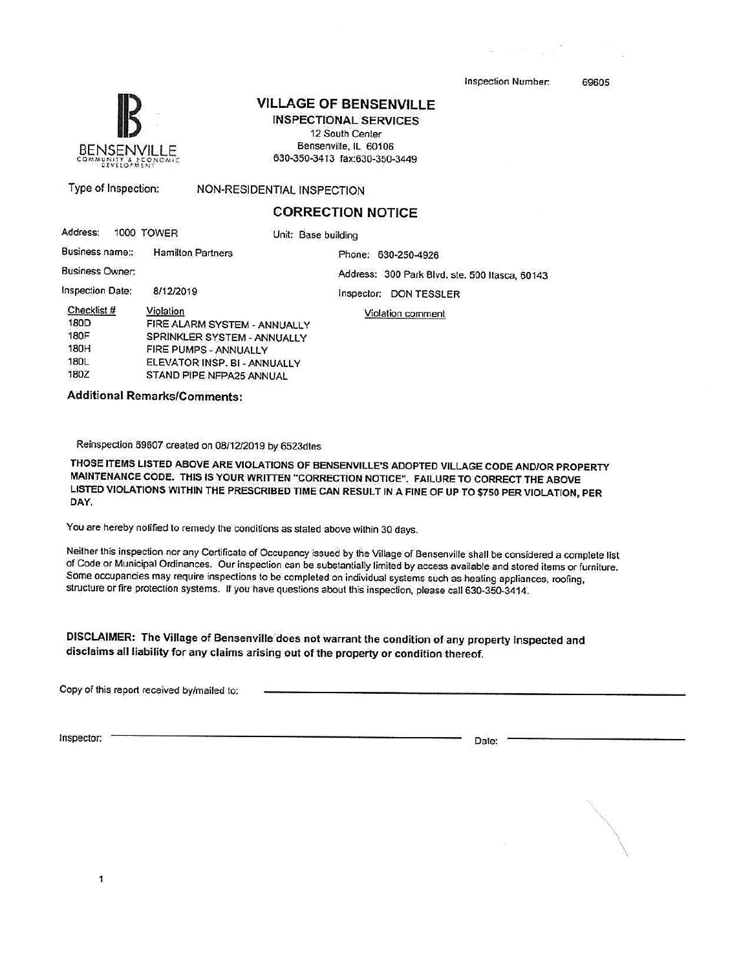Inspection Number. 69605



# **VILLAGE OF BENSENVILLE**

**INSPECTIONAL SERVICES**  12 South Center Bensenville, IL 60106  $630-350-3413$  fax:630-350-3449

Type of Inspection: NON-RESIDENTIAL INSPECTION

## **CORRECTION NOTICE**

| Address:               |  | 1000 TOWER                   | Unit: Base building                            |  |  |
|------------------------|--|------------------------------|------------------------------------------------|--|--|
| Business name::        |  | <b>Hamilton Partners</b>     | Phone: 630-250-4926                            |  |  |
| <b>Business Owner:</b> |  |                              | Address: 300 Park Blvd. ste. 500 Itasca, 60143 |  |  |
| Inspection Date:       |  | 8/12/2019                    | <b>DON TESSLER</b><br>Inspector:               |  |  |
| Checklist #            |  | Violation                    | Violation comment                              |  |  |
| 180D                   |  | FIRE ALARM SYSTEM - ANNUALLY |                                                |  |  |
| <b>180F</b>            |  | SPRINKLER SYSTEM - ANNUALLY  |                                                |  |  |
| 180H                   |  | FIRE PUMPS - ANNUALLY        |                                                |  |  |
| 180L                   |  | ELEVATOR INSP. BI - ANNUALLY |                                                |  |  |
| 180Z                   |  | STAND PIPE NFPA25 ANNUAL     |                                                |  |  |
|                        |  |                              |                                                |  |  |

**Additional Remarks/Comments:** 

Reinspection 69607 created on 08/12/2019 by 6523dtes

THOSE ITEMS LISTED ABOVE ARE VIOLATIONS OF BENSENVILLE'S ADOPTED VILLAGE CODE AND/OR PROPERTY MAINTENANCE CODE. THIS IS YOUR WRITTEN "CORRECTION NOTICE". FAILURE TO CORRECT THE ABOVE LISTED VIOLATIONS WITHIN THE PRESCRIBED TIME CAN RESULT IN A FINE OF UP TO \$750 PER VIOLATION, PER **DAY.** 

You are hereby notified to remedy the conditions as stated above within 30 days.

Neither this inspection nor any Certificate of Occupancy issued by the Village of Bensenville shall be considered a complete list of Code or Municipal Ordinances. Our inspection can be substantially limited by access available and stored items or furniture. Some occupancies may require inspections to be completed on individual systems such as heating appliances, roofing, structure or fire protection systems. If you have questions about this inspection, please call 630-350-3414.

**DISCLAIMER:** The Village of Bensenvilte'does not warrant the condition of any property inspected and disclaims all liability for any claims arising out of the property or condition thereof.

Copy of this report received by/mailed to:

Inspector: Date:

\

1